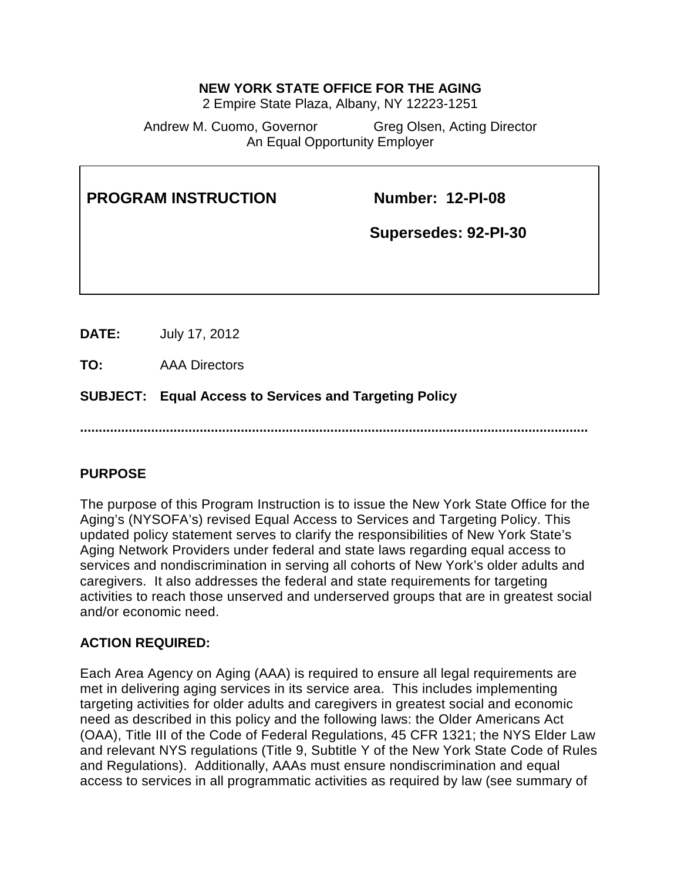#### **NEW YORK STATE OFFICE FOR THE AGING**

2 Empire State Plaza, Albany, NY 12223-1251

Andrew M. Cuomo, Governor Greg Olsen, Acting Director An Equal Opportunity Employer

| <b>PROGRAM INSTRUCTION</b> |                      | <b>Number: 12-PI-08</b><br>Supersedes: 92-PI-30 |  |
|----------------------------|----------------------|-------------------------------------------------|--|
| DATE:                      | July 17, 2012        |                                                 |  |
| TO:                        | <b>AAA Directors</b> |                                                 |  |

**SUBJECT: Equal Access to Services and Targeting Policy**

**........................................................................................................................................**

#### **PURPOSE**

The purpose of this Program Instruction is to issue the New York State Office for the Aging's (NYSOFA's) revised Equal Access to Services and Targeting Policy. This updated policy statement serves to clarify the responsibilities of New York State's Aging Network Providers under federal and state laws regarding equal access to services and nondiscrimination in serving all cohorts of New York's older adults and caregivers. It also addresses the federal and state requirements for targeting activities to reach those unserved and underserved groups that are in greatest social and/or economic need.

#### **ACTION REQUIRED:**

Each Area Agency on Aging (AAA) is required to ensure all legal requirements are met in delivering aging services in its service area. This includes implementing targeting activities for older adults and caregivers in greatest social and economic need as described in this policy and the following laws: the Older Americans Act (OAA), Title III of the Code of Federal Regulations, 45 CFR 1321; the NYS Elder Law and relevant NYS regulations (Title 9, Subtitle Y of the New York State Code of Rules and Regulations). Additionally, AAAs must ensure nondiscrimination and equal access to services in all programmatic activities as required by law (see summary of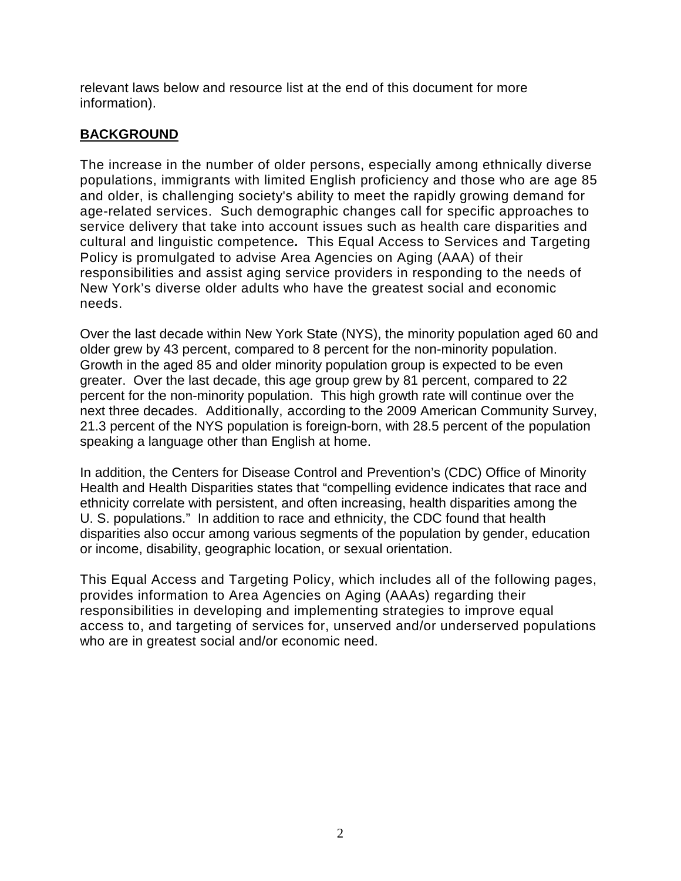relevant laws below and resource list at the end of this document for more information).

## **BACKGROUND**

The increase in the number of older persons, especially among ethnically diverse populations, immigrants with limited English proficiency and those who are age 85 and older, is challenging society's ability to meet the rapidly growing demand for age-related services. Such demographic changes call for specific approaches to service delivery that take into account issues such as health care disparities and cultural and linguistic competence*.* This Equal Access to Services and Targeting Policy is promulgated to advise Area Agencies on Aging (AAA) of their responsibilities and assist aging service providers in responding to the needs of New York's diverse older adults who have the greatest social and economic needs.

Over the last decade within New York State (NYS), the minority population aged 60 and older grew by 43 percent, compared to 8 percent for the non-minority population. Growth in the aged 85 and older minority population group is expected to be even greater. Over the last decade, this age group grew by 81 percent, compared to 22 percent for the non-minority population. This high growth rate will continue over the next three decades. Additionally, according to the 2009 American Community Survey, 21.3 percent of the NYS population is foreign-born, with 28.5 percent of the population speaking a language other than English at home.

In addition, the Centers for Disease Control and Prevention's (CDC) Office of Minority Health and Health Disparities states that "compelling evidence indicates that race and ethnicity correlate with persistent, and often increasing, health disparities among the U. S. populations." In addition to race and ethnicity, the CDC found that health disparities also occur among various segments of the population by gender, education or income, disability, geographic location, or sexual orientation.

This Equal Access and Targeting Policy, which includes all of the following pages, provides information to Area Agencies on Aging (AAAs) regarding their responsibilities in developing and implementing strategies to improve equal access to, and targeting of services for, unserved and/or underserved populations who are in greatest social and/or economic need.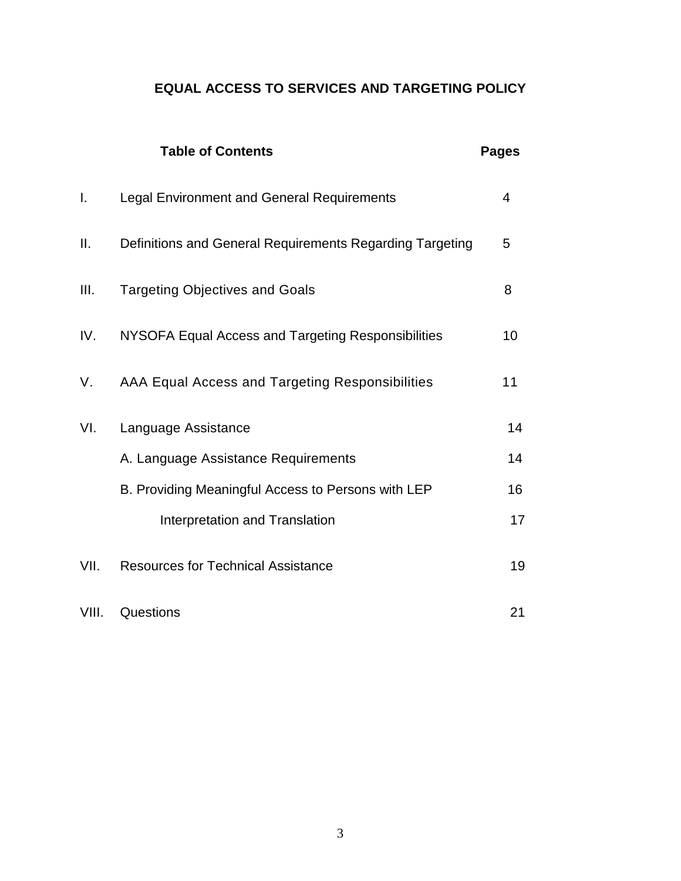# **EQUAL ACCESS TO SERVICES AND TARGETING POLICY**

|                | <b>Table of Contents</b>                                 | <b>Pages</b> |
|----------------|----------------------------------------------------------|--------------|
| $\mathbf{I}$ . | <b>Legal Environment and General Requirements</b>        | 4            |
| Ш.             | Definitions and General Requirements Regarding Targeting | 5            |
| III.           | <b>Targeting Objectives and Goals</b>                    | 8            |
| IV.            | NYSOFA Equal Access and Targeting Responsibilities       | 10           |
| V.             | AAA Equal Access and Targeting Responsibilities          | 11           |
| VI.            | Language Assistance                                      | 14           |
|                | A. Language Assistance Requirements                      | 14           |
|                | B. Providing Meaningful Access to Persons with LEP       | 16           |
|                | Interpretation and Translation                           | 17           |
| VII.           | <b>Resources for Technical Assistance</b>                | 19           |
| VIII.          | Questions                                                | 21           |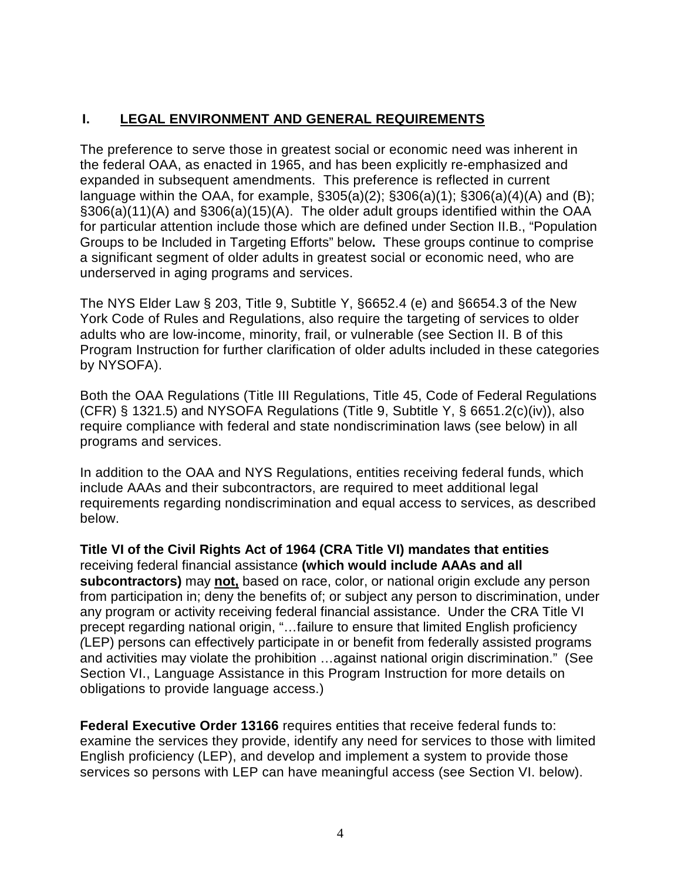# **I. LEGAL ENVIRONMENT AND GENERAL REQUIREMENTS**

The preference to serve those in greatest social or economic need was inherent in the federal OAA, as enacted in 1965, and has been explicitly re-emphasized and expanded in subsequent amendments. This preference is reflected in current language within the OAA, for example, §305(a)(2); §306(a)(1); §306(a)(4)(A) and (B); §306(a)(11)(A) and §306(a)(15)(A). The older adult groups identified within the OAA for particular attention include those which are defined under Section II.B., "Population Groups to be Included in Targeting Efforts" below**.** These groups continue to comprise a significant segment of older adults in greatest social or economic need, who are underserved in aging programs and services.

The NYS Elder Law § 203, Title 9, Subtitle Y, §6652.4 (e) and §6654.3 of the New York Code of Rules and Regulations, also require the targeting of services to older adults who are low-income, minority, frail, or vulnerable (see Section II. B of this Program Instruction for further clarification of older adults included in these categories by NYSOFA).

Both the OAA Regulations (Title III Regulations, Title 45, Code of Federal Regulations (CFR)  $\S$  1321.5) and NYSOFA Regulations (Title 9, Subtitle Y,  $\S$  6651.2(c)(iv)), also require compliance with federal and state nondiscrimination laws (see below) in all programs and services.

In addition to the OAA and NYS Regulations, entities receiving federal funds, which include AAAs and their subcontractors, are required to meet additional legal requirements regarding nondiscrimination and equal access to services, as described below.

**Title VI of the Civil Rights Act of 1964 (CRA Title VI) mandates that entities** receiving federal financial assistance **(which would include AAAs and all subcontractors)** may **not,** based on race, color, or national origin exclude any person from participation in; deny the benefits of; or subject any person to discrimination, under any program or activity receiving federal financial assistance. Under the CRA Title VI precept regarding national origin, "…failure to ensure that limited English proficiency *(*LEP) persons can effectively participate in or benefit from federally assisted programs and activities may violate the prohibition …against national origin discrimination." (See Section VI., Language Assistance in this Program Instruction for more details on obligations to provide language access.)

**Federal Executive Order 13166** requires entities that receive federal funds to: examine the services they provide, identify any need for services to those with limited English proficiency (LEP), and develop and implement a system to provide those services so persons with LEP can have meaningful access (see Section VI. below).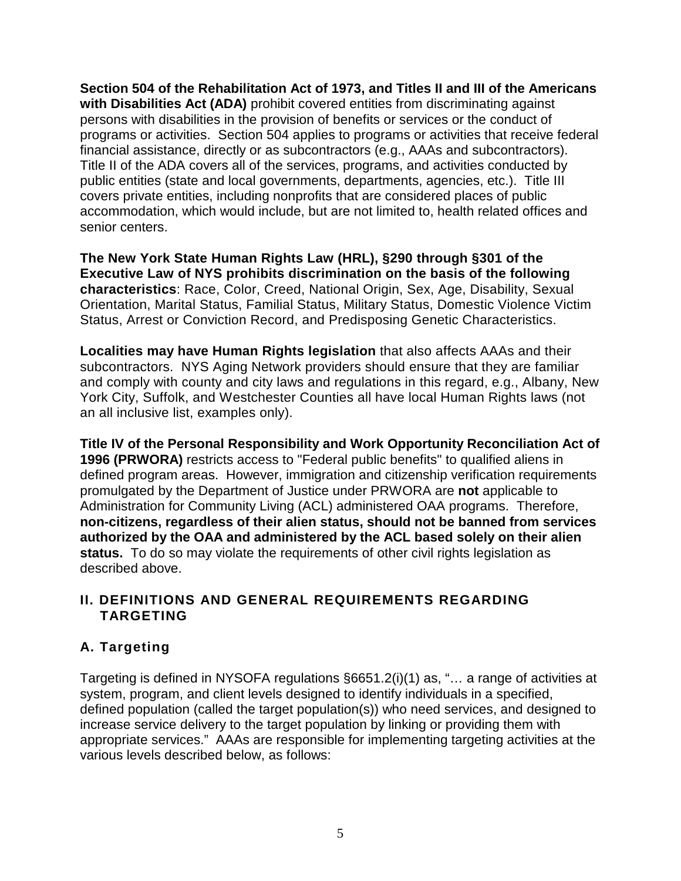**Section 504 of the Rehabilitation Act of 1973, and Titles II and III of the Americans with Disabilities Act (ADA)** prohibit covered entities from discriminating against persons with disabilities in the provision of benefits or services or the conduct of programs or activities. Section 504 applies to programs or activities that receive federal financial assistance, directly or as subcontractors (e.g., AAAs and subcontractors). Title II of the ADA covers all of the services, programs, and activities conducted by public entities (state and local governments, departments, agencies, etc.). Title III covers private entities, including nonprofits that are considered places of public accommodation, which would include, but are not limited to, health related offices and senior centers.

**The New York State Human Rights Law (HRL), §290 through §301 of the Executive Law of NYS prohibits discrimination on the basis of the following characteristics**: Race, Color, Creed, National Origin, Sex, Age, Disability, Sexual Orientation, Marital Status, Familial Status, Military Status, Domestic Violence Victim Status, Arrest or Conviction Record, and Predisposing Genetic Characteristics.

**Localities may have Human Rights legislation** that also affects AAAs and their subcontractors. NYS Aging Network providers should ensure that they are familiar and comply with county and city laws and regulations in this regard, e.g., Albany, New York City, Suffolk, and Westchester Counties all have local Human Rights laws (not an all inclusive list, examples only).

**Title IV of the Personal Responsibility and Work Opportunity Reconciliation Act of 1996 (PRWORA)** restricts access to "Federal public benefits" to qualified aliens in defined program areas. However, immigration and citizenship verification requirements promulgated by the Department of Justice under PRWORA are **not** applicable to Administration for Community Living (ACL) administered OAA programs. Therefore, **non-citizens, regardless of their alien status, should not be banned from services authorized by the OAA and administered by the ACL based solely on their alien status.** To do so may violate the requirements of other civil rights legislation as described above.

## **II. DEFINITIONS AND GENERAL REQUIREMENTS REGARDING TARGETING**

# **A. Targeting**

Targeting is defined in NYSOFA regulations §6651.2(i)(1) as, "… a range of activities at system, program, and client levels designed to identify individuals in a specified, defined population (called the target population(s)) who need services, and designed to increase service delivery to the target population by linking or providing them with appropriate services." AAAs are responsible for implementing targeting activities at the various levels described below, as follows: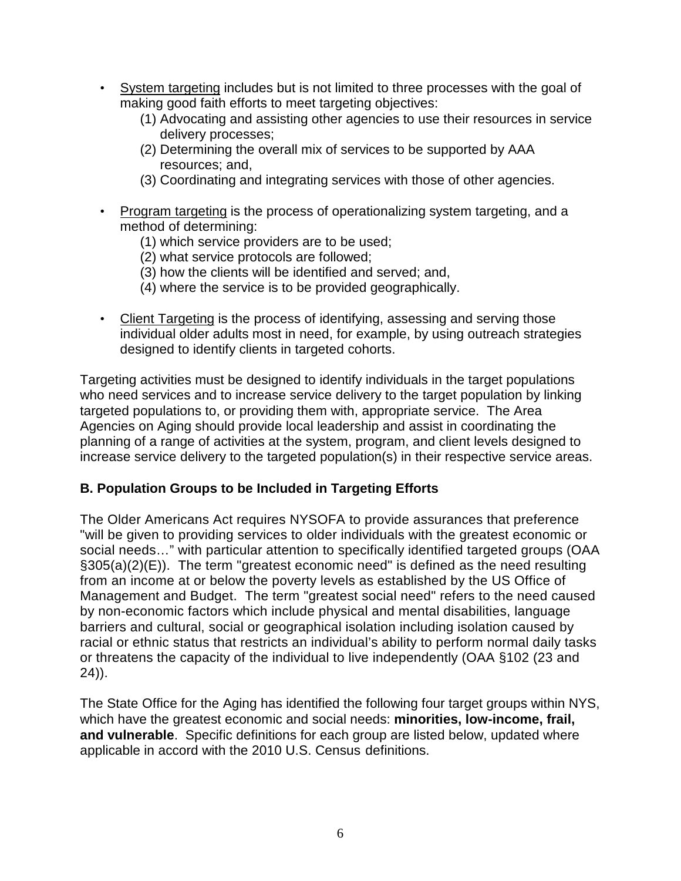- System targeting includes but is not limited to three processes with the goal of making good faith efforts to meet targeting objectives:
	- (1) Advocating and assisting other agencies to use their resources in service delivery processes;
	- (2) Determining the overall mix of services to be supported by AAA resources; and,
	- (3) Coordinating and integrating services with those of other agencies.
- Program targeting is the process of operationalizing system targeting, and a method of determining:
	- (1) which service providers are to be used;
	- (2) what service protocols are followed;
	- (3) how the clients will be identified and served; and,
	- (4) where the service is to be provided geographically.
- Client Targeting is the process of identifying, assessing and serving those individual older adults most in need, for example, by using outreach strategies designed to identify clients in targeted cohorts.

Targeting activities must be designed to identify individuals in the target populations who need services and to increase service delivery to the target population by linking targeted populations to, or providing them with, appropriate service. The Area Agencies on Aging should provide local leadership and assist in coordinating the planning of a range of activities at the system, program, and client levels designed to increase service delivery to the targeted population(s) in their respective service areas.

## **B. Population Groups to be Included in Targeting Efforts**

The Older Americans Act requires NYSOFA to provide assurances that preference "will be given to providing services to older individuals with the greatest economic or social needs…" with particular attention to specifically identified targeted groups (OAA §305(a)(2)(E)). The term "greatest economic need" is defined as the need resulting from an income at or below the poverty levels as established by the US Office of Management and Budget. The term "greatest social need" refers to the need caused by non-economic factors which include physical and mental disabilities, language barriers and cultural, social or geographical isolation including isolation caused by racial or ethnic status that restricts an individual's ability to perform normal daily tasks or threatens the capacity of the individual to live independently (OAA §102 (23 and 24)).

The State Office for the Aging has identified the following four target groups within NYS, which have the greatest economic and social needs: **minorities, low-income, frail, and vulnerable**. Specific definitions for each group are listed below, updated where applicable in accord with the 2010 U.S. Census definitions.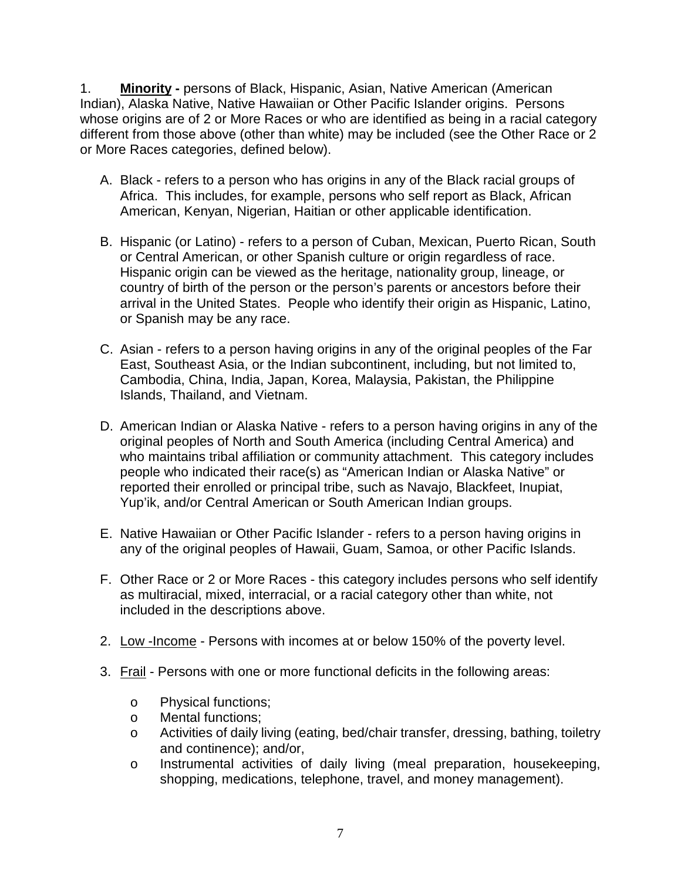1. **Minority -** persons of Black, Hispanic, Asian, Native American (American Indian), Alaska Native, Native Hawaiian or Other Pacific Islander origins. Persons whose origins are of 2 or More Races or who are identified as being in a racial category different from those above (other than white) may be included (see the Other Race or 2 or More Races categories, defined below).

- A. Black refers to a person who has origins in any of the Black racial groups of Africa. This includes, for example, persons who self report as Black, African American, Kenyan, Nigerian, Haitian or other applicable identification.
- B. Hispanic (or Latino) refers to a person of Cuban, Mexican, Puerto Rican, South or Central American, or other Spanish culture or origin regardless of race. Hispanic origin can be viewed as the heritage, nationality group, lineage, or country of birth of the person or the person's parents or ancestors before their arrival in the United States. People who identify their origin as Hispanic, Latino, or Spanish may be any race.
- C. Asian refers to a person having origins in any of the original peoples of the Far East, Southeast Asia, or the Indian subcontinent, including, but not limited to, Cambodia, China, India, Japan, Korea, Malaysia, Pakistan, the Philippine Islands, Thailand, and Vietnam.
- D. American Indian or Alaska Native refers to a person having origins in any of the original peoples of North and South America (including Central America) and who maintains tribal affiliation or community attachment. This category includes people who indicated their race(s) as "American Indian or Alaska Native" or reported their enrolled or principal tribe, such as Navajo, Blackfeet, Inupiat, Yup'ik, and/or Central American or South American Indian groups.
- E. Native Hawaiian or Other Pacific Islander refers to a person having origins in any of the original peoples of Hawaii, Guam, Samoa, or other Pacific Islands.
- F. Other Race or 2 or More Races this category includes persons who self identify as multiracial, mixed, interracial, or a racial category other than white, not included in the descriptions above.
- 2. Low -Income Persons with incomes at or below 150% of the poverty level.
- 3. Frail Persons with one or more functional deficits in the following areas:
	- o Physical functions;
	- o Mental functions;
	- o Activities of daily living (eating, bed/chair transfer, dressing, bathing, toiletry and continence); and/or,
	- o Instrumental activities of daily living (meal preparation, housekeeping, shopping, medications, telephone, travel, and money management).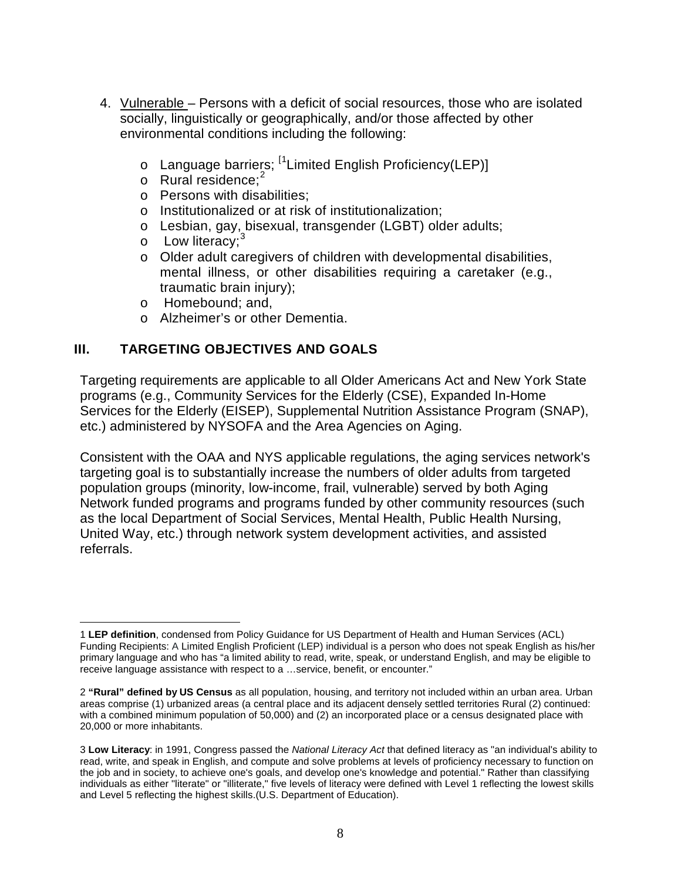- 4. Vulnerable Persons with a deficit of social resources, those who are isolated socially, linguistically or geographically, and/or those affected by other environmental conditions including the following:
	- Language barriers; <sup>[[1](#page-7-0)</sup>Limited English Proficiency(LEP)]
	- o Rural residence;<sup>[2](#page-7-1)</sup>
	- o Persons with disabilities;
	- o Institutionalized or at risk of institutionalization;
	- o Lesbian, gay, bisexual, transgender (LGBT) older adults;
	- $\circ$  Low literacy;<sup>[3](#page-7-2)</sup>
	- o Older adult caregivers of children with developmental disabilities, mental illness, or other disabilities requiring a caretaker (e.g., traumatic brain injury);
	- o Homebound; and,
	- o Alzheimer's or other Dementia.

## **III. TARGETING OBJECTIVES AND GOALS**

Targeting requirements are applicable to all Older Americans Act and New York State programs (e.g., Community Services for the Elderly (CSE), Expanded In-Home Services for the Elderly (EISEP), Supplemental Nutrition Assistance Program (SNAP), etc.) administered by NYSOFA and the Area Agencies on Aging.

Consistent with the OAA and NYS applicable regulations, the aging services network's targeting goal is to substantially increase the numbers of older adults from targeted population groups (minority, low-income, frail, vulnerable) served by both Aging Network funded programs and programs funded by other community resources (such as the local Department of Social Services, Mental Health, Public Health Nursing, United Way, etc.) through network system development activities, and assisted referrals.

<span id="page-7-0"></span> $\overline{a}$ 1 **LEP definition**, condensed from Policy Guidance for US Department of Health and Human Services (ACL) Funding Recipients: A Limited English Proficient (LEP) individual is a person who does not speak English as his/her primary language and who has "a limited ability to read, write, speak, or understand English, and may be eligible to receive language assistance with respect to a …service, benefit, or encounter."

<span id="page-7-1"></span><sup>2</sup> **"Rural" defined by US Census** as all population, housing, and territory not included within an urban area. Urban areas comprise (1) urbanized areas (a central place and its adjacent densely settled territories Rural (2) continued: with a combined minimum population of 50,000) and (2) an incorporated place or a census designated place with 20,000 or more inhabitants.

<span id="page-7-2"></span><sup>3</sup> **Low Literacy**: in 1991, Congress passed the *National Literacy Act* that defined literacy as "an individual's ability to read, write, and speak in English, and compute and solve problems at levels of proficiency necessary to function on the job and in society, to achieve one's goals, and develop one's knowledge and potential." Rather than classifying individuals as either "literate" or "illiterate," five levels of literacy were defined with Level 1 reflecting the lowest skills and Level 5 reflecting the highest skills.(U.S. Department of Education).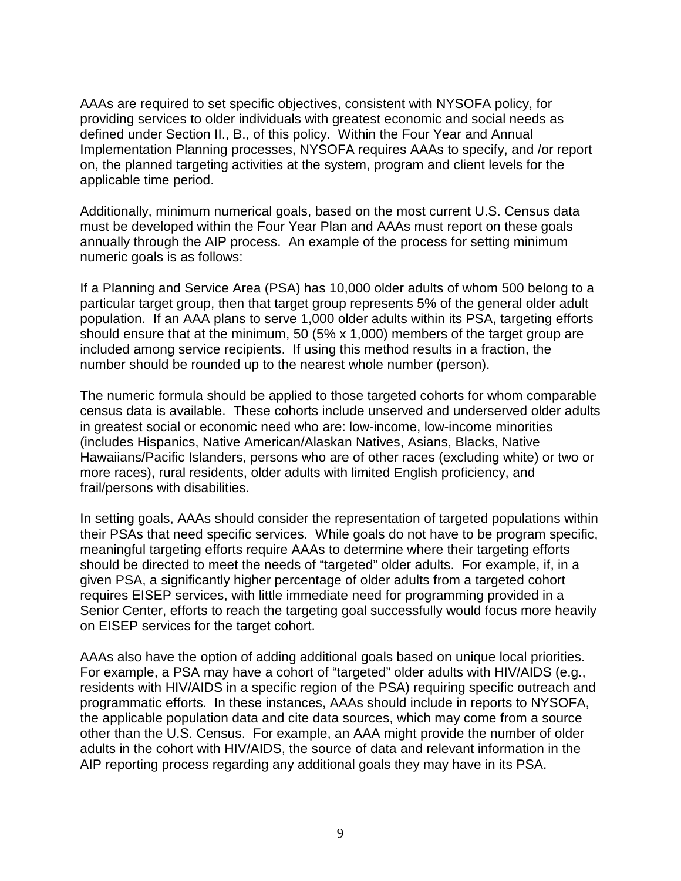AAAs are required to set specific objectives, consistent with NYSOFA policy, for providing services to older individuals with greatest economic and social needs as defined under Section II., B., of this policy. Within the Four Year and Annual Implementation Planning processes, NYSOFA requires AAAs to specify, and /or report on, the planned targeting activities at the system, program and client levels for the applicable time period.

Additionally, minimum numerical goals, based on the most current U.S. Census data must be developed within the Four Year Plan and AAAs must report on these goals annually through the AIP process. An example of the process for setting minimum numeric goals is as follows:

If a Planning and Service Area (PSA) has 10,000 older adults of whom 500 belong to a particular target group, then that target group represents 5% of the general older adult population. If an AAA plans to serve 1,000 older adults within its PSA, targeting efforts should ensure that at the minimum, 50 (5% x 1,000) members of the target group are included among service recipients. If using this method results in a fraction, the number should be rounded up to the nearest whole number (person).

The numeric formula should be applied to those targeted cohorts for whom comparable census data is available. These cohorts include unserved and underserved older adults in greatest social or economic need who are: low-income, low-income minorities (includes Hispanics, Native American/Alaskan Natives, Asians, Blacks, Native Hawaiians/Pacific Islanders, persons who are of other races (excluding white) or two or more races), rural residents, older adults with limited English proficiency, and frail/persons with disabilities.

In setting goals, AAAs should consider the representation of targeted populations within their PSAs that need specific services. While goals do not have to be program specific, meaningful targeting efforts require AAAs to determine where their targeting efforts should be directed to meet the needs of "targeted" older adults. For example, if, in a given PSA, a significantly higher percentage of older adults from a targeted cohort requires EISEP services, with little immediate need for programming provided in a Senior Center, efforts to reach the targeting goal successfully would focus more heavily on EISEP services for the target cohort.

AAAs also have the option of adding additional goals based on unique local priorities. For example, a PSA may have a cohort of "targeted" older adults with HIV/AIDS (e.g., residents with HIV/AIDS in a specific region of the PSA) requiring specific outreach and programmatic efforts. In these instances, AAAs should include in reports to NYSOFA, the applicable population data and cite data sources, which may come from a source other than the U.S. Census. For example, an AAA might provide the number of older adults in the cohort with HIV/AIDS, the source of data and relevant information in the AIP reporting process regarding any additional goals they may have in its PSA.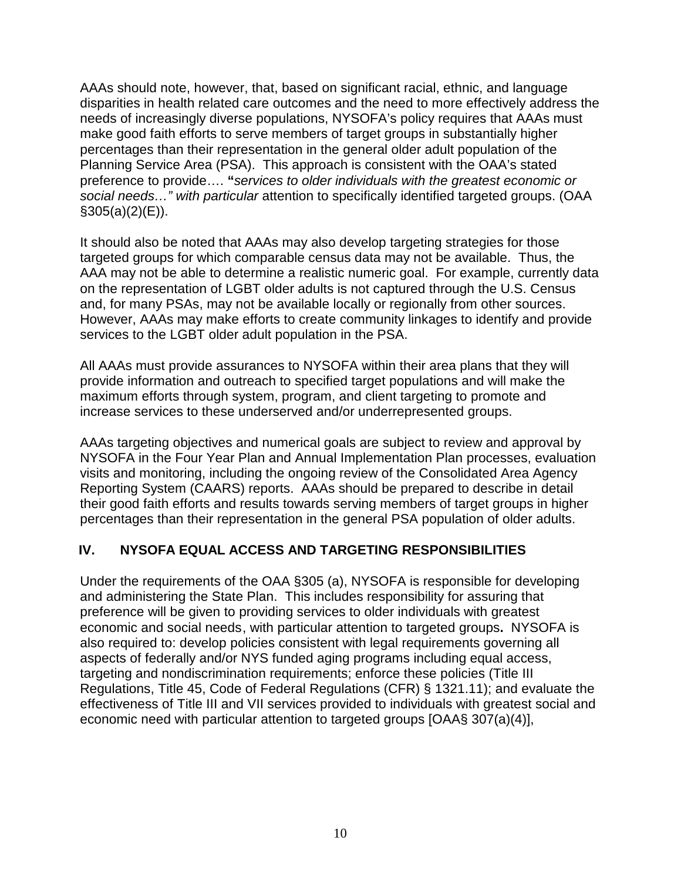AAAs should note, however, that, based on significant racial, ethnic, and language disparities in health related care outcomes and the need to more effectively address the needs of increasingly diverse populations, NYSOFA's policy requires that AAAs must make good faith efforts to serve members of target groups in substantially higher percentages than their representation in the general older adult population of the Planning Service Area (PSA). This approach is consistent with the OAA's stated preference to provide…. **"***services to older individuals with the greatest economic or social needs…" with particular* attention to specifically identified targeted groups. (OAA  $$305(a)(2)(E)$ ).

It should also be noted that AAAs may also develop targeting strategies for those targeted groups for which comparable census data may not be available. Thus, the AAA may not be able to determine a realistic numeric goal. For example, currently data on the representation of LGBT older adults is not captured through the U.S. Census and, for many PSAs, may not be available locally or regionally from other sources. However, AAAs may make efforts to create community linkages to identify and provide services to the LGBT older adult population in the PSA.

All AAAs must provide assurances to NYSOFA within their area plans that they will provide information and outreach to specified target populations and will make the maximum efforts through system, program, and client targeting to promote and increase services to these underserved and/or underrepresented groups.

AAAs targeting objectives and numerical goals are subject to review and approval by NYSOFA in the Four Year Plan and Annual Implementation Plan processes, evaluation visits and monitoring, including the ongoing review of the Consolidated Area Agency Reporting System (CAARS) reports. AAAs should be prepared to describe in detail their good faith efforts and results towards serving members of target groups in higher percentages than their representation in the general PSA population of older adults.

## **IV. NYSOFA EQUAL ACCESS AND TARGETING RESPONSIBILITIES**

Under the requirements of the OAA §305 (a), NYSOFA is responsible for developing and administering the State Plan. This includes responsibility for assuring that preference will be given to providing services to older individuals with greatest economic and social needs, with particular attention to targeted groups**.** NYSOFA is also required to: develop policies consistent with legal requirements governing all aspects of federally and/or NYS funded aging programs including equal access, targeting and nondiscrimination requirements; enforce these policies (Title III Regulations, Title 45, Code of Federal Regulations (CFR) § 1321.11); and evaluate the effectiveness of Title III and VII services provided to individuals with greatest social and economic need with particular attention to targeted groups [OAA§ 307(a)(4)],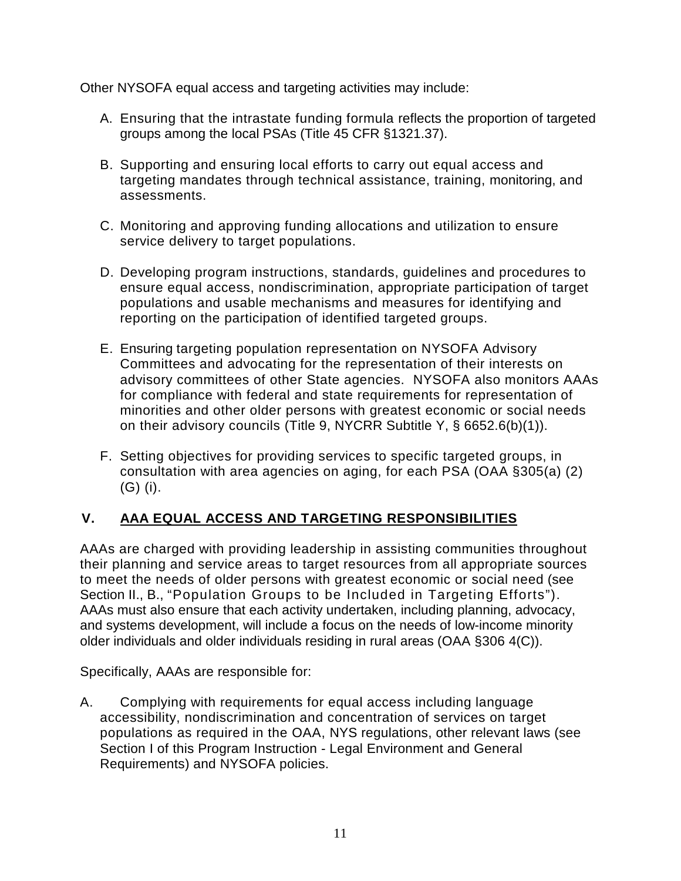Other NYSOFA equal access and targeting activities may include:

- A. Ensuring that the intrastate funding formula reflects the proportion of targeted groups among the local PSAs (Title 45 CFR §1321.37).
- B. Supporting and ensuring local efforts to carry out equal access and targeting mandates through technical assistance, training, monitoring, and assessments.
- C. Monitoring and approving funding allocations and utilization to ensure service delivery to target populations.
- D. Developing program instructions, standards, guidelines and procedures to ensure equal access, nondiscrimination, appropriate participation of target populations and usable mechanisms and measures for identifying and reporting on the participation of identified targeted groups.
- E. Ensuring targeting population representation on NYSOFA Advisory Committees and advocating for the representation of their interests on advisory committees of other State agencies. NYSOFA also monitors AAAs for compliance with federal and state requirements for representation of minorities and other older persons with greatest economic or social needs on their advisory councils (Title 9, NYCRR Subtitle Y, § 6652.6(b)(1)).
- F. Setting objectives for providing services to specific targeted groups, in consultation with area agencies on aging, for each PSA (OAA §305(a) (2) (G) (i).

# **V. AAA EQUAL ACCESS AND TARGETING RESPONSIBILITIES**

AAAs are charged with providing leadership in assisting communities throughout their planning and service areas to target resources from all appropriate sources to meet the needs of older persons with greatest economic or social need (see Section II., B., "Population Groups to be Included in Targeting Efforts"). AAAs must also ensure that each activity undertaken, including planning, advocacy, and systems development, will include a focus on the needs of low-income minority older individuals and older individuals residing in rural areas (OAA §306 4(C)).

Specifically, AAAs are responsible for:

A. Complying with requirements for equal access including language accessibility, nondiscrimination and concentration of services on target populations as required in the OAA, NYS regulations, other relevant laws (see Section I of this Program Instruction - Legal Environment and General Requirements) and NYSOFA policies.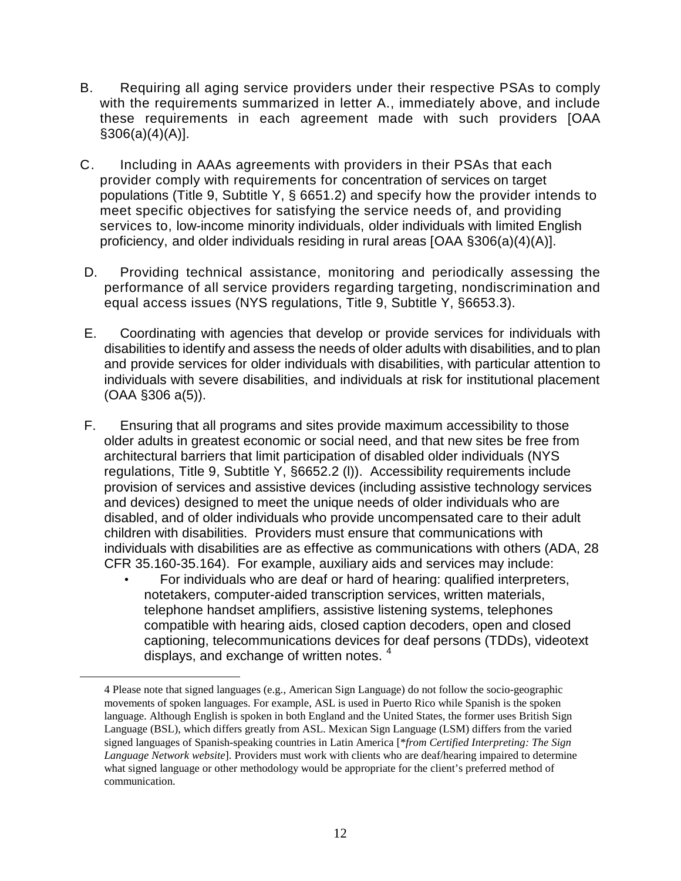- B. Requiring all aging service providers under their respective PSAs to comply with the requirements summarized in letter A., immediately above, and include these requirements in each agreement made with such providers [OAA §306(a)(4)(A)].
- C. Including in AAAs agreements with providers in their PSAs that each provider comply with requirements for concentration of services on target populations (Title 9, Subtitle Y, § 6651.2) and specify how the provider intends to meet specific objectives for satisfying the service needs of, and providing services to, low-income minority individuals, older individuals with limited English proficiency, and older individuals residing in rural areas [OAA §306(a)(4)(A)].
- D. Providing technical assistance, monitoring and periodically assessing the performance of all service providers regarding targeting, nondiscrimination and equal access issues (NYS regulations, Title 9, Subtitle Y, §6653.3).
- E. Coordinating with agencies that develop or provide services for individuals with disabilities to identify and assess the needs of older adults with disabilities, and to plan and provide services for older individuals with disabilities, with particular attention to individuals with severe disabilities, and individuals at risk for institutional placement (OAA §306 a(5)).
- F. Ensuring that all programs and sites provide maximum accessibility to those older adults in greatest economic or social need, and that new sites be free from architectural barriers that limit participation of disabled older individuals (NYS regulations, Title 9, Subtitle Y, §6652.2 (l)). Accessibility requirements include provision of services and assistive devices (including assistive technology services and devices) designed to meet the unique needs of older individuals who are disabled, and of older individuals who provide uncompensated care to their adult children with disabilities. Providers must ensure that communications with individuals with disabilities are as effective as communications with others (ADA, 28 CFR 35.160-35.164). For example, auxiliary aids and services may include:
	- For individuals who are deaf or hard of hearing: qualified interpreters, notetakers, computer-aided transcription services, written materials, telephone handset amplifiers, assistive listening systems, telephones compatible with hearing aids, closed caption decoders, open and closed captioning, telecommunications devices for deaf persons (TDDs), videotext displays, and exchange of written notes.<sup>[4](#page-11-0)</sup>

<span id="page-11-0"></span> $\overline{a}$ 

<sup>4</sup> Please note that signed languages (e.g., American Sign Language) do not follow the socio-geographic movements of spoken languages. For example, ASL is used in Puerto Rico while Spanish is the spoken language. Although English is spoken in both England and the United States, the former uses British Sign Language (BSL), which differs greatly from ASL. Mexican Sign Language (LSM) differs from the varied signed languages of Spanish-speaking countries in Latin America [\**from Certified Interpreting: The Sign Language Network website*]. Providers must work with clients who are deaf/hearing impaired to determine what signed language or other methodology would be appropriate for the client's preferred method of communication.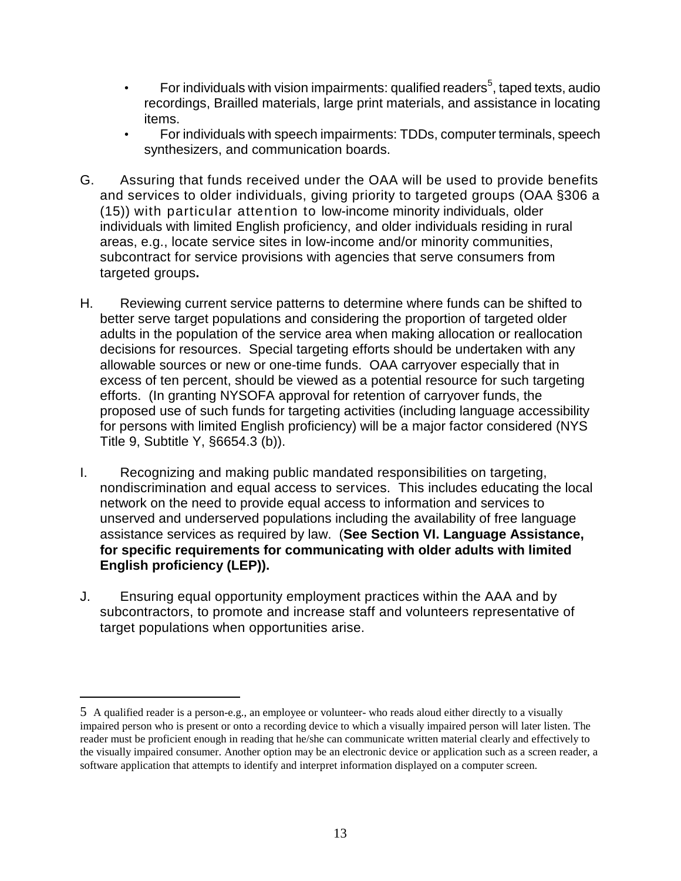- For individuals with vision impairments: qualified readers<sup>[5](#page-12-0)</sup>, taped texts, audio recordings, Brailled materials, large print materials, and assistance in locating items.
- For individuals with speech impairments: TDDs, computer terminals, speech synthesizers, and communication boards.
- G. Assuring that funds received under the OAA will be used to provide benefits and services to older individuals, giving priority to targeted groups (OAA §306 a (15)) with particular attention to low-income minority individuals, older individuals with limited English proficiency, and older individuals residing in rural areas, e.g., locate service sites in low-income and/or minority communities, subcontract for service provisions with agencies that serve consumers from targeted groups**.**
- H. Reviewing current service patterns to determine where funds can be shifted to better serve target populations and considering the proportion of targeted older adults in the population of the service area when making allocation or reallocation decisions for resources. Special targeting efforts should be undertaken with any allowable sources or new or one-time funds. OAA carryover especially that in excess of ten percent, should be viewed as a potential resource for such targeting efforts. (In granting NYSOFA approval for retention of carryover funds, the proposed use of such funds for targeting activities (including language accessibility for persons with limited English proficiency) will be a major factor considered (NYS Title 9, Subtitle Y, §6654.3 (b)).
- I. Recognizing and making public mandated responsibilities on targeting, nondiscrimination and equal access to services. This includes educating the local network on the need to provide equal access to information and services to unserved and underserved populations including the availability of free language assistance services as required by law. (**See Section VI. Language Assistance, for specific requirements for communicating with older adults with limited English proficiency (LEP)).**
- J. Ensuring equal opportunity employment practices within the AAA and by subcontractors, to promote and increase staff and volunteers representative of target populations when opportunities arise.

 $\overline{a}$ 

<span id="page-12-0"></span><sup>5</sup> A qualified reader is a person-e.g., an employee or volunteer- who reads aloud either directly to a visually impaired person who is present or onto a recording device to which a visually impaired person will later listen. The reader must be proficient enough in reading that he/she can communicate written material clearly and effectively to the visually impaired consumer. Another option may be an electronic device or application such as a screen reader, a software application that attempts to identify and interpret information displayed on a computer screen.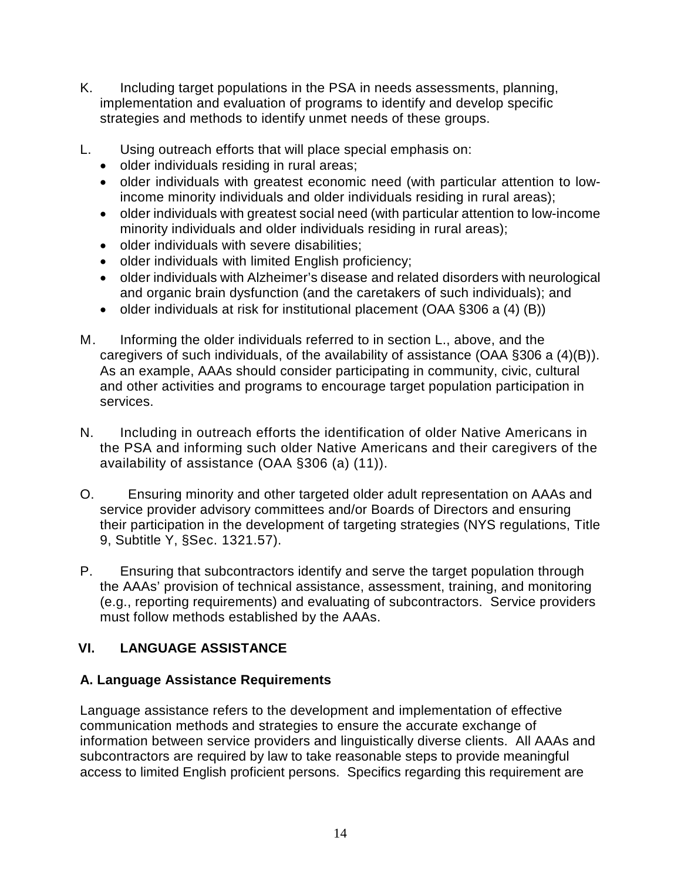- K. Including target populations in the PSA in needs assessments, planning, implementation and evaluation of programs to identify and develop specific strategies and methods to identify unmet needs of these groups.
- L. Using outreach efforts that will place special emphasis on:
	- older individuals residing in rural areas;
	- older individuals with greatest economic need (with particular attention to lowincome minority individuals and older individuals residing in rural areas);
	- older individuals with greatest social need (with particular attention to low-income minority individuals and older individuals residing in rural areas);
	- older individuals with severe disabilities;
	- older individuals with limited English proficiency;
	- older individuals with Alzheimer's disease and related disorders with neurological and organic brain dysfunction (and the caretakers of such individuals); and
	- older individuals at risk for institutional placement (OAA §306 a (4) (B))
- M. Informing the older individuals referred to in section L., above, and the caregivers of such individuals, of the availability of assistance (OAA §306 a (4)(B)). As an example, AAAs should consider participating in community, civic, cultural and other activities and programs to encourage target population participation in services.
- N. Including in outreach efforts the identification of older Native Americans in the PSA and informing such older Native Americans and their caregivers of the availability of assistance (OAA §306 (a) (11)).
- O. Ensuring minority and other targeted older adult representation on AAAs and service provider advisory committees and/or Boards of Directors and ensuring their participation in the development of targeting strategies (NYS regulations, Title 9, Subtitle Y, §Sec. 1321.57).
- P. Ensuring that subcontractors identify and serve the target population through the AAAs' provision of technical assistance, assessment, training, and monitoring (e.g., reporting requirements) and evaluating of subcontractors. Service providers must follow methods established by the AAAs.

# **VI. LANGUAGE ASSISTANCE**

# **A. Language Assistance Requirements**

Language assistance refers to the development and implementation of effective communication methods and strategies to ensure the accurate exchange of information between service providers and linguistically diverse clients. All AAAs and subcontractors are required by law to take reasonable steps to provide meaningful access to limited English proficient persons. Specifics regarding this requirement are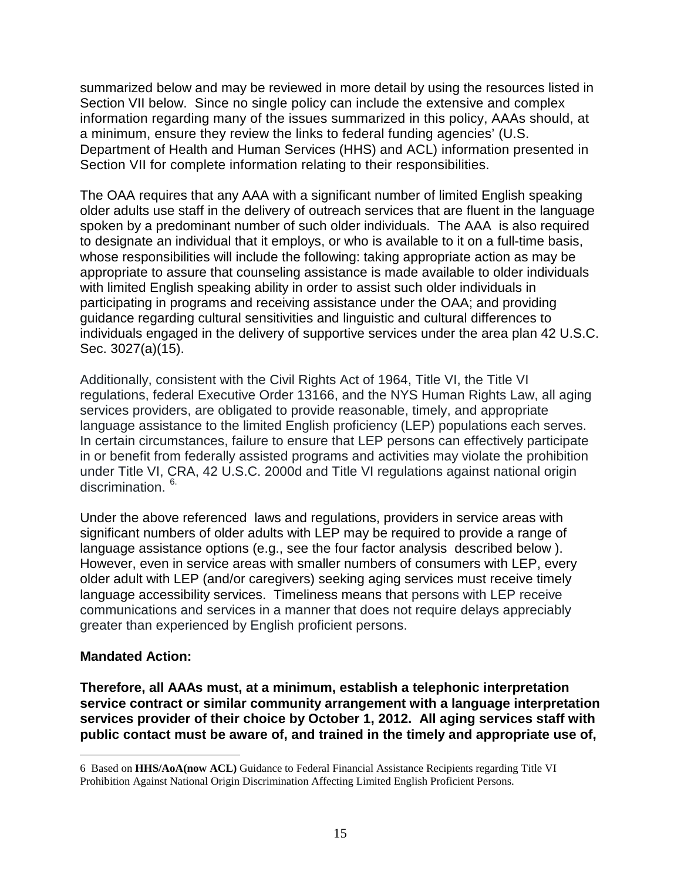summarized below and may be reviewed in more detail by using the resources listed in Section VII below. Since no single policy can include the extensive and complex information regarding many of the issues summarized in this policy, AAAs should, at a minimum, ensure they review the links to federal funding agencies' (U.S. Department of Health and Human Services (HHS) and ACL) information presented in Section VII for complete information relating to their responsibilities.

The OAA requires that any AAA with a significant number of limited English speaking older adults use staff in the delivery of outreach services that are fluent in the language spoken by a predominant number of such older individuals. The AAA is also required to designate an individual that it employs, or who is available to it on a full-time basis, whose responsibilities will include the following: taking appropriate action as may be appropriate to assure that counseling assistance is made available to older individuals with limited English speaking ability in order to assist such older individuals in participating in programs and receiving assistance under the OAA; and providing guidance regarding cultural sensitivities and linguistic and cultural differences to individuals engaged in the delivery of supportive services under the area plan 42 U.S.C. Sec. 3027(a)(15).

Additionally, consistent with the Civil Rights Act of 1964, Title VI, the Title VI regulations, federal Executive Order 13166, and the NYS Human Rights Law, all aging services providers, are obligated to provide reasonable, timely, and appropriate language assistance to the limited English proficiency (LEP) populations each serves. In certain circumstances, failure to ensure that LEP persons can effectively participate in or benefit from federally assisted programs and activities may violate the prohibition under Title VI, CRA, 42 U.S.C. 2000d and Title VI regulations against national origin discrimination.<sup>[6](#page-14-0)</sup>

Under the above referenced laws and regulations, providers in service areas with significant numbers of older adults with LEP may be required to provide a range of language assistance options (e.g., see the four factor analysis described below ). However, even in service areas with smaller numbers of consumers with LEP, every older adult with LEP (and/or caregivers) seeking aging services must receive timely language accessibility services. Timeliness means that persons with LEP receive communications and services in a manner that does not require delays appreciably greater than experienced by English proficient persons.

#### **Mandated Action:**

**Therefore, all AAAs must, at a minimum, establish a telephonic interpretation service contract or similar community arrangement with a language interpretation services provider of their choice by October 1, 2012. All aging services staff with public contact must be aware of, and trained in the timely and appropriate use of,** 

<span id="page-14-0"></span> $\overline{a}$ 6 Based on **HHS/AoA(now ACL)** Guidance to Federal Financial Assistance Recipients regarding Title VI Prohibition Against National Origin Discrimination Affecting Limited English Proficient Persons.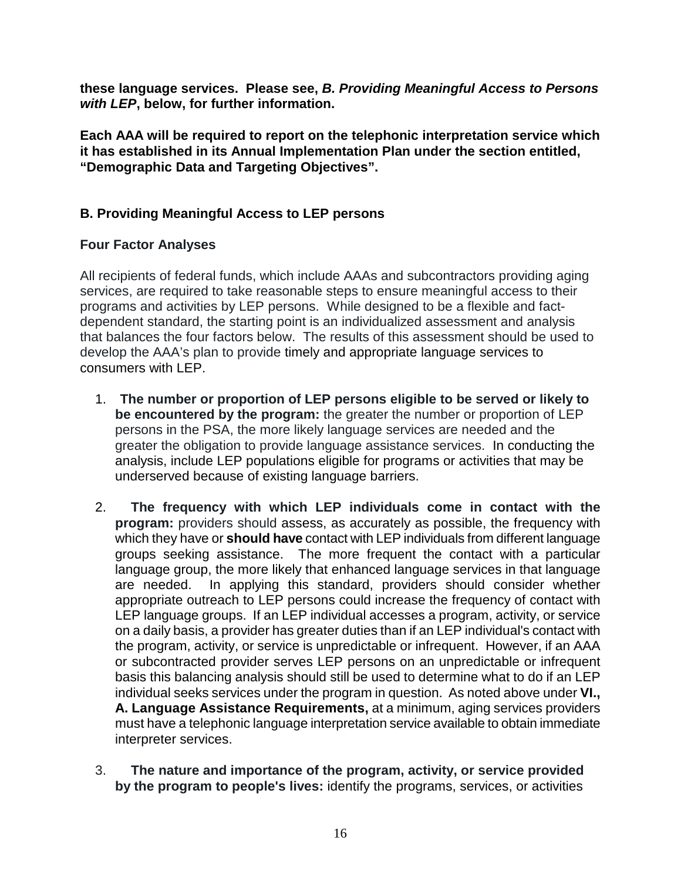**these language services. Please see,** *B. Providing Meaningful Access to Persons with LEP***, below, for further information.** 

**Each AAA will be required to report on the telephonic interpretation service which it has established in its Annual Implementation Plan under the section entitled, "Demographic Data and Targeting Objectives".**

# **B. Providing Meaningful Access to LEP persons**

## **Four Factor Analyses**

All recipients of federal funds, which include AAAs and subcontractors providing aging services, are required to take reasonable steps to ensure meaningful access to their programs and activities by LEP persons. While designed to be a flexible and factdependent standard, the starting point is an individualized assessment and analysis that balances the four factors below. The results of this assessment should be used to develop the AAA's plan to provide timely and appropriate language services to consumers with LEP.

- 1. **The number or proportion of LEP persons eligible to be served or likely to be encountered by the program:** the greater the number or proportion of LEP persons in the PSA, the more likely language services are needed and the greater the obligation to provide language assistance services. In conducting the analysis, include LEP populations eligible for programs or activities that may be underserved because of existing language barriers.
- 2. **The frequency with which LEP individuals come in contact with the program:** providers should assess, as accurately as possible, the frequency with which they have or **should have** contact with LEP individuals from different language groups seeking assistance. The more frequent the contact with a particular language group, the more likely that enhanced language services in that language are needed. In applying this standard, providers should consider whether appropriate outreach to LEP persons could increase the frequency of contact with LEP language groups. If an LEP individual accesses a program, activity, or service on a daily basis, a provider has greater duties than if an LEP individual's contact with the program, activity, or service is unpredictable or infrequent. However, if an AAA or subcontracted provider serves LEP persons on an unpredictable or infrequent basis this balancing analysis should still be used to determine what to do if an LEP individual seeks services under the program in question. As noted above under **VI., A. Language Assistance Requirements,** at a minimum, aging services providers must have a telephonic language interpretation service available to obtain immediate interpreter services.
- 3. **The nature and importance of the program, activity, or service provided by the program to people's lives:** identify the programs, services, or activities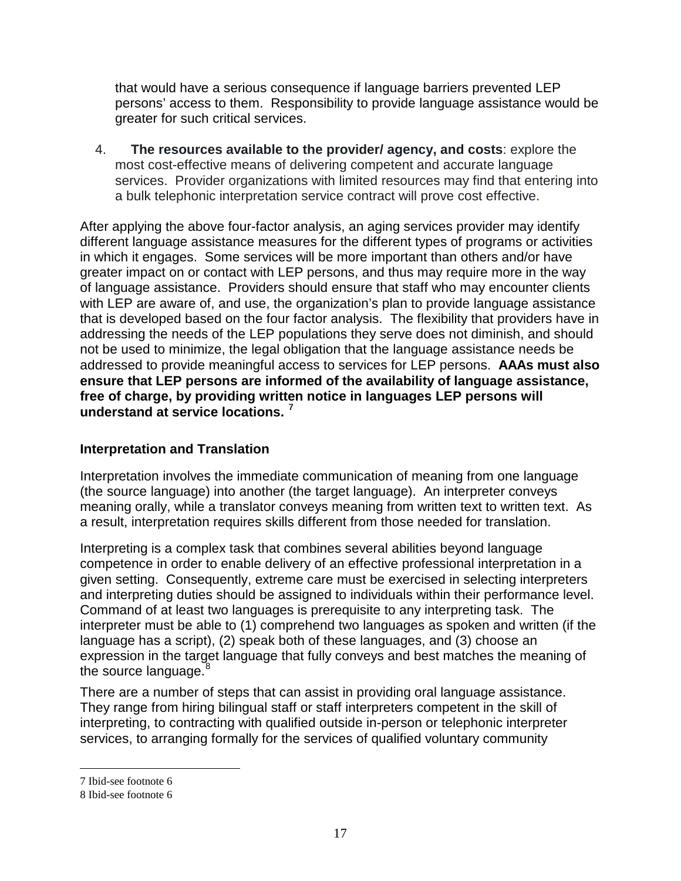that would have a serious consequence if language barriers prevented LEP persons' access to them. Responsibility to provide language assistance would be greater for such critical services.

4. **The resources available to the provider/ agency, and costs**: explore the most cost-effective means of delivering competent and accurate language services. Provider organizations with limited resources may find that entering into a bulk telephonic interpretation service contract will prove cost effective.

After applying the above four-factor analysis, an aging services provider may identify different language assistance measures for the different types of programs or activities in which it engages. Some services will be more important than others and/or have greater impact on or contact with LEP persons, and thus may require more in the way of language assistance. Providers should ensure that staff who may encounter clients with LEP are aware of, and use, the organization's plan to provide language assistance that is developed based on the four factor analysis. The flexibility that providers have in addressing the needs of the LEP populations they serve does not diminish, and should not be used to minimize, the legal obligation that the language assistance needs be addressed to provide meaningful access to services for LEP persons. **AAAs must also ensure that LEP persons are informed of the availability of language assistance, free of charge, by providing written notice in languages LEP persons will understand at service locations. [7](#page-16-0)**

## **Interpretation and Translation**

Interpretation involves the immediate communication of meaning from one language (the source language) into another (the target language). An interpreter conveys meaning orally, while a translator conveys meaning from written text to written text. As a result, interpretation requires skills different from those needed for translation.

Interpreting is a complex task that combines several abilities beyond language competence in order to enable delivery of an effective professional interpretation in a given setting. Consequently, extreme care must be exercised in selecting interpreters and interpreting duties should be assigned to individuals within their performance level. Command of at least two languages is prerequisite to any interpreting task. The interpreter must be able to (1) comprehend two languages as spoken and written (if the language has a script), (2) speak both of these languages, and (3) choose an expression in the target language that fully conveys and best matches the meaning of the source language.<sup>[8](#page-16-1)</sup>

There are a number of steps that can assist in providing oral language assistance. They range from hiring bilingual staff or staff interpreters competent in the skill of interpreting, to contracting with qualified outside in-person or telephonic interpreter services, to arranging formally for the services of qualified voluntary community

 $\overline{a}$ 

<span id="page-16-0"></span><sup>7</sup> Ibid-see footnote 6

<span id="page-16-1"></span><sup>8</sup> Ibid-see footnote 6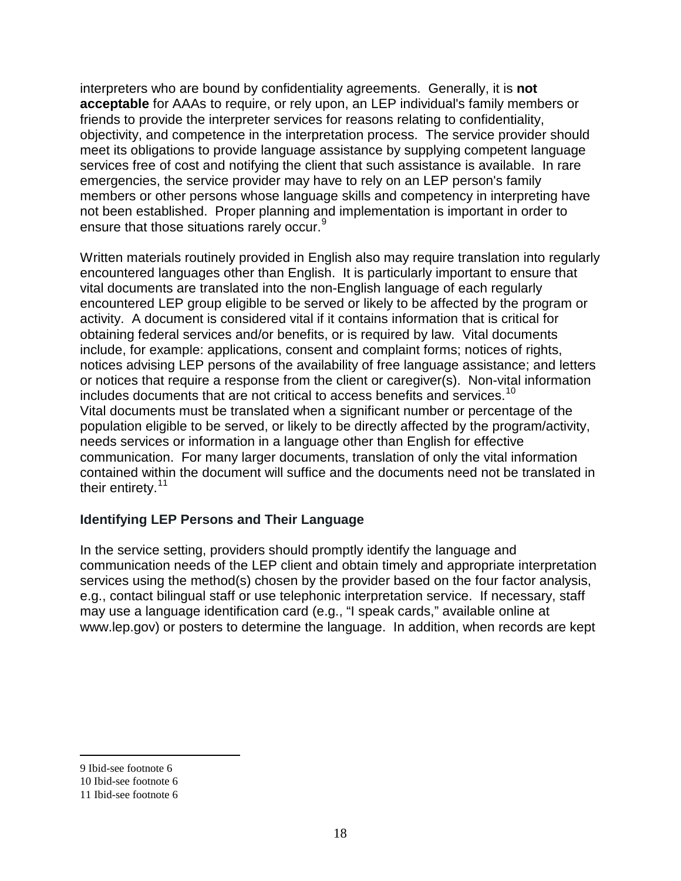interpreters who are bound by confidentiality agreements. Generally, it is **not acceptable** for AAAs to require, or rely upon, an LEP individual's family members or friends to provide the interpreter services for reasons relating to confidentiality, objectivity, and competence in the interpretation process. The service provider should meet its obligations to provide language assistance by supplying competent language services free of cost and notifying the client that such assistance is available. In rare emergencies, the service provider may have to rely on an LEP person's family members or other persons whose language skills and competency in interpreting have not been established. Proper planning and implementation is important in order to ensure that those situations rarely occur.<sup>[9](#page-17-0)</sup>

Written materials routinely provided in English also may require translation into regularly encountered languages other than English. It is particularly important to ensure that vital documents are translated into the non-English language of each regularly encountered LEP group eligible to be served or likely to be affected by the program or activity. A document is considered vital if it contains information that is critical for obtaining federal services and/or benefits, or is required by law. Vital documents include, for example: applications, consent and complaint forms; notices of rights, notices advising LEP persons of the availability of free language assistance; and letters or notices that require a response from the client or caregiver(s). Non-vital information includes documents that are not critical to access benefits and services.<sup>[10](#page-17-1)</sup> Vital documents must be translated when a significant number or percentage of the population eligible to be served, or likely to be directly affected by the program/activity, needs services or information in a language other than English for effective communication. For many larger documents, translation of only the vital information contained within the document will suffice and the documents need not be translated in their entirety.<sup>[11](#page-17-2)</sup>

## **Identifying LEP Persons and Their Language**

In the service setting, providers should promptly identify the language and communication needs of the LEP client and obtain timely and appropriate interpretation services using the method(s) chosen by the provider based on the four factor analysis, e.g., contact bilingual staff or use telephonic interpretation service. If necessary, staff may use a language identification card (e.g., "I speak cards," available online at www.lep.gov) or posters to determine the language. In addition, when records are kept

 $\overline{a}$ 

<span id="page-17-0"></span><sup>9</sup> Ibid-see footnote 6

<span id="page-17-1"></span><sup>10</sup> Ibid-see footnote 6

<span id="page-17-2"></span><sup>11</sup> Ibid-see footnote 6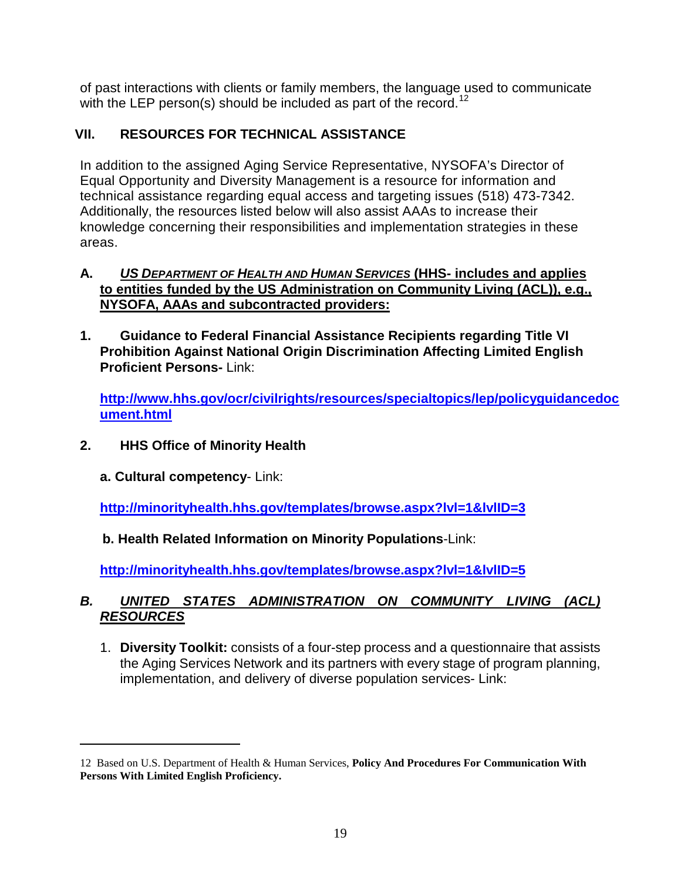of past interactions with clients or family members, the language used to communicate with the LEP person(s) should be included as part of the record.<sup>[12](#page-18-0)</sup>

# **VII. RESOURCES FOR TECHNICAL ASSISTANCE**

In addition to the assigned Aging Service Representative, NYSOFA's Director of Equal Opportunity and Diversity Management is a resource for information and technical assistance regarding equal access and targeting issues (518) 473-7342. Additionally, the resources listed below will also assist AAAs to increase their knowledge concerning their responsibilities and implementation strategies in these areas.

### **A.** *US DEPARTMENT OF HEALTH AND HUMAN SERVICES* **(HHS- includes and applies to entities funded by the US Administration on Community Living (ACL)), e.g., NYSOFA, AAAs and subcontracted providers:**

**1. Guidance to Federal Financial Assistance Recipients regarding Title VI Prohibition Against National Origin Discrimination Affecting Limited English Proficient Persons-** Link:

**[http://www.hhs.gov/ocr/civilrights/resources/specialtopics/lep/policyguidancedoc](http://www.hhs.gov/ocr/civilrights/resources/specialtopics/lep/policyguidancedocument.html) [ument.html](http://www.hhs.gov/ocr/civilrights/resources/specialtopics/lep/policyguidancedocument.html)**

- **2. HHS Office of Minority Health**
	- **a. Cultural competency** Link:

 $\overline{a}$ 

**<http://minorityhealth.hhs.gov/templates/browse.aspx?lvl=1&lvlID=3>**

# **b. Health Related Information on Minority Populations**-Link:

**<http://minorityhealth.hhs.gov/templates/browse.aspx?lvl=1&lvlID=5>**

# *B. UNITED STATES ADMINISTRATION ON COMMUNITY LIVING (ACL) RESOURCES*

1. **Diversity Toolkit:** consists of a four-step process and a questionnaire that assists the Aging Services Network and its partners with every stage of program planning, implementation, and delivery of diverse population services- Link:

<span id="page-18-0"></span><sup>12</sup> Based on U.S. Department of Health & Human Services, **Policy And Procedures For Communication With Persons With Limited English Proficiency.**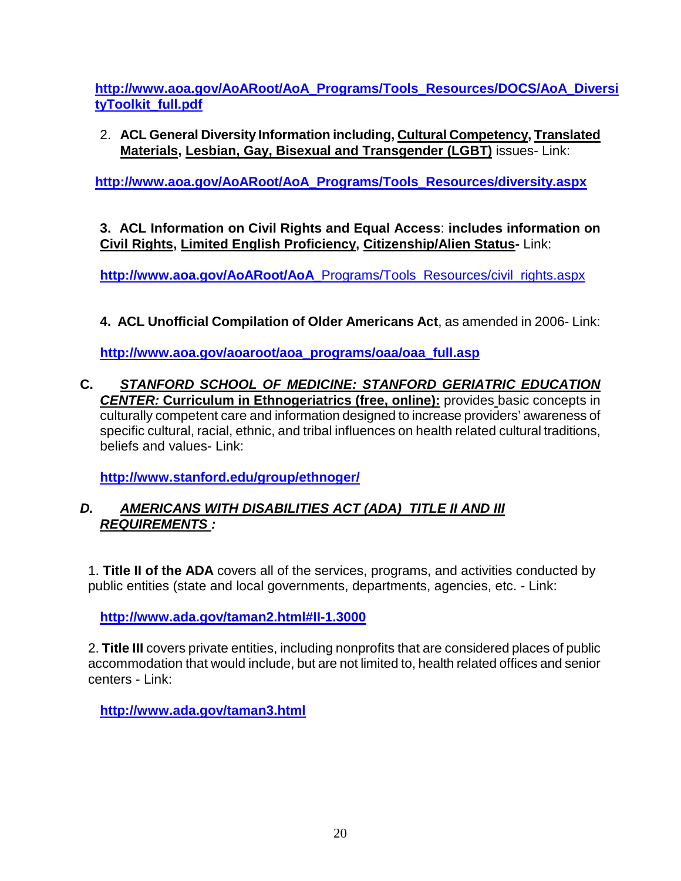**[http://www.aoa.gov/AoARoot/AoA\\_Programs/Tools\\_Resources/DOCS/AoA\\_Diversi](http://www.aoa.gov/AoARoot/AoA_Programs/Tools_Resources/DOCS/AoA_DiversityToolkit_full.pdf) [tyToolkit\\_full.pdf](http://www.aoa.gov/AoARoot/AoA_Programs/Tools_Resources/DOCS/AoA_DiversityToolkit_full.pdf)**

2. **ACL General Diversity Information including, [Cultural Competency,](http://www.aoa.gov/AoARoot/AoA_Programs/Tools_Resources/diversity.aspx#cultural) [Translated](http://www.aoa.gov/AoARoot/AoA_Programs/Tools_Resources/diversity.aspx#translated)  [Materials,](http://www.aoa.gov/AoARoot/AoA_Programs/Tools_Resources/diversity.aspx#translated) [Lesbian, Gay, Bisexual and Transgender \(LGBT\)](http://www.aoa.gov/AoARoot/AoA_Programs/Tools_Resources/diversity.aspx#LGBT)** issues- Link:

**[http://www.aoa.gov/AoARoot/AoA\\_Programs/Tools\\_Resources/diversity.aspx](http://www.aoa.gov/AoARoot/AoA_Programs/Tools_Resources/diversity.aspx)**

**3. ACL Information on Civil Rights and Equal Access**: **includes information on Civil Rights, [Limited English Proficiency,](http://www.aoa.gov/AoARoot/AoA_Programs/Tools_Resources/civil_rights.aspx#limited) [Citizenship/Alien Status-](http://www.aoa.gov/AoARoot/AoA_Programs/Tools_Resources/civil_rights.aspx#citizenship)** Link:

**http://www.aoa.gov/AoARoot/AoA\_**[Programs/Tools\\_Resources/civil\\_rights.aspx](http://www.aoa.gov/AoARoot/AoA_Programs/Tools_Resources/civil_rights.aspx)

**4. ACL Unofficial Compilation of Older Americans Act**, as amended in 2006- Link:

**[http://www.aoa.gov/aoaroot/aoa\\_programs/oaa/oaa\\_full.asp](http://www.aoa.gov/aoaroot/aoa_programs/oaa/oaa_full.asp)**

**C.** *STANFORD SCHOOL OF MEDICINE: STANFORD GERIATRIC EDUCATION CENTER:* **Curriculum in Ethnogeriatrics (free, online):** provides basic concepts in culturally competent care and information designed to increase providers' awareness of specific cultural, racial, ethnic, and tribal influences on health related cultural traditions, beliefs and values- Link:

**<http://www.stanford.edu/group/ethnoger/>**

# *D. AMERICANS WITH DISABILITIES ACT (ADA) TITLE II AND III REQUIREMENTS :*

1. **Title II of the ADA** covers all of the services, programs, and activities conducted by public entities (state and local governments, departments, agencies, etc. - Link:

**<http://www.ada.gov/taman2.html#II-1.3000>**

2. **Title III** covers private entities, including nonprofits that are considered places of public accommodation that would include, but are not limited to, health related offices and senior centers - Link:

**<http://www.ada.gov/taman3.html>**